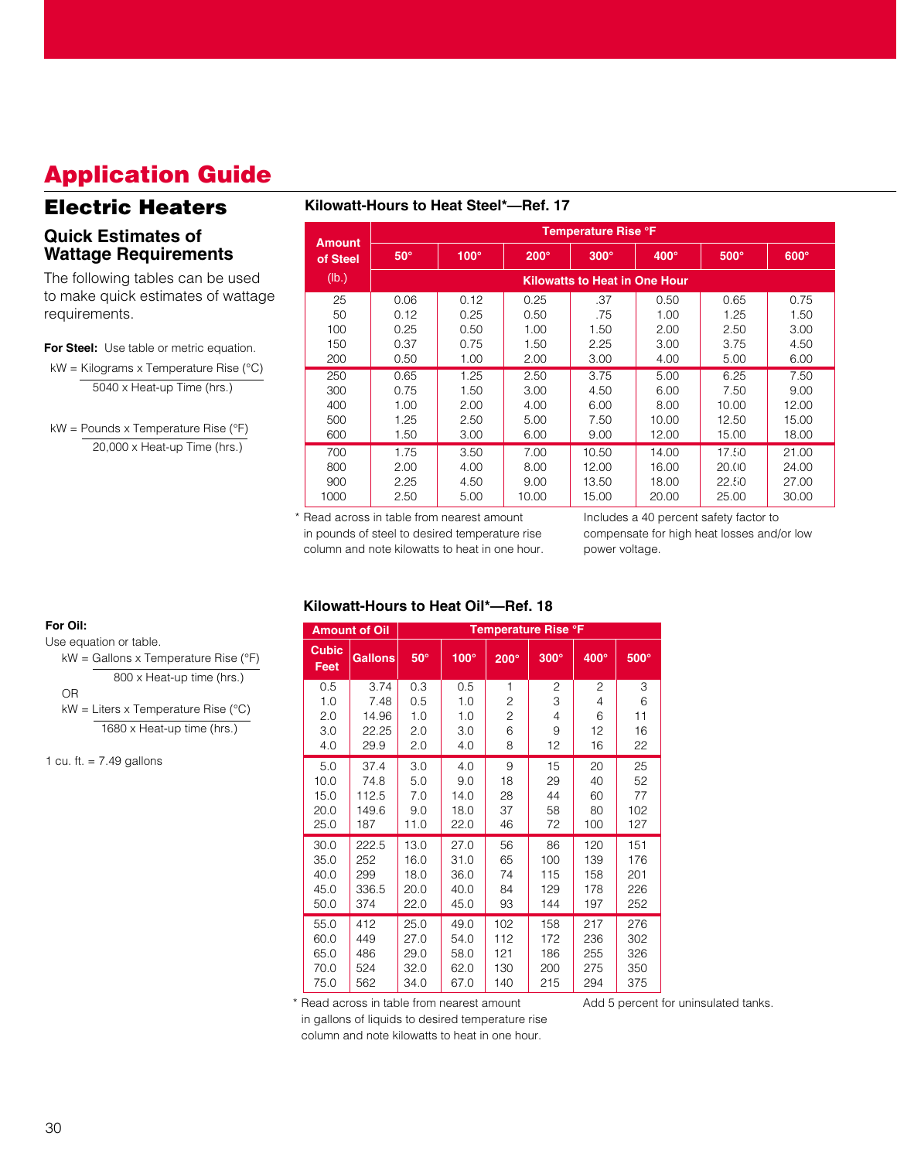# **Application Guide**

# **Electric Heaters**

### **Quick Estimates of Wattage Requirements**

The following tables can be used to make quick estimates of wattage requirements.

#### **For Steel:** Use table or metric equation.

kW = Kilograms x Temperature Rise (°C) 5040 x Heat-up Time (hrs.)

kW = Pounds x Temperature Rise (°F) 20,000 x Heat-up Time (hrs.)

### **Kilowatt-Hours to Heat Steel\*—Ref. 17**

| <b>Amount</b> |            | <b>Temperature Rise °F</b> |             |                                      |       |       |       |  |  |  |
|---------------|------------|----------------------------|-------------|--------------------------------------|-------|-------|-------|--|--|--|
| of Steel      | $50^\circ$ | $100^\circ$                | $200^\circ$ | $300^\circ$                          | 400°  | 500°  | 600°  |  |  |  |
| (Ib.)         |            |                            |             | <b>Kilowatts to Heat in One Hour</b> |       |       |       |  |  |  |
| 25            | 0.06       | 0.12                       | 0.25        | .37                                  | 0.50  | 0.65  | 0.75  |  |  |  |
| 50            | 0.12       | 0.25                       | 0.50        | .75                                  | 1.00  | 1.25  | 1.50  |  |  |  |
| 100           | 0.25       | 0.50                       | 1.00        | 1.50                                 | 2.00  | 2.50  | 3.00  |  |  |  |
| 150           | 0.37       | 0.75                       | 1.50        | 2.25                                 | 3.00  | 3.75  | 4.50  |  |  |  |
| 200           | 0.50       |                            | 2.00        | 3.00                                 | 4.00  | 5.00  | 6.00  |  |  |  |
| 250           | 0.65       | 1.25                       | 2.50        | 3.75                                 | 5.00  | 6.25  | 7.50  |  |  |  |
| 300           | 0.75       | 1.50                       | 3.00        | 4.50                                 | 6.00  | 7.50  | 9.00  |  |  |  |
| 400           | 1.00       | 2.00                       | 4.00        | 6.00                                 | 8.00  | 10.00 | 12.00 |  |  |  |
| 500           | 1.25       | 2.50                       | 5.00        | 7.50                                 | 10.00 | 12.50 | 15.00 |  |  |  |
| 600           | 1.50       | 3.00                       | 6.00        | 9.00                                 | 12.00 | 15.00 | 18.00 |  |  |  |
| 700           | 1.75       | 3.50                       | 7.00        | 10.50                                | 14.00 | 17.50 | 21.00 |  |  |  |
| 800           | 2.00       | 4.00                       | 8.00        | 12.00                                | 16.00 | 20.00 | 24.00 |  |  |  |
| 900           | 2.25       | 4.50                       | 9.00        | 13.50                                | 18.00 | 22.50 | 27.00 |  |  |  |
| 1000          | 2.50       | 5.00                       | 10.00       | 15.00                                | 20.00 | 25.00 | 30.00 |  |  |  |

\* Read across in table from nearest amount in pounds of steel to desired temperature rise column and note kilowatts to heat in one hour. Includes a 40 percent safety factor to compensate for high heat losses and/or low power voltage.

### **Kilowatt-Hours to Heat Oil\*—Ref. 18**

|                      | <b>Amount of Oil</b> | <b>Temperature Rise °F</b> |             |                |             |      |      |  |  |
|----------------------|----------------------|----------------------------|-------------|----------------|-------------|------|------|--|--|
| <b>Cubic</b><br>Feet | <b>Gallons</b>       | $50^\circ$                 | $100^\circ$ | $200^\circ$    | $300^\circ$ | 400° | 500° |  |  |
| 0.5                  | 3.74                 | 0.3                        | 0.5         | 1              | 2           | 2    | 3    |  |  |
| 1.0                  | 7.48                 | 0.5                        | 1.0         | $\overline{c}$ | 3           | 4    | 6    |  |  |
| 2.0                  | 14.96                | 1.0                        | 1.0         | $\overline{c}$ | 4           | 6    | 11   |  |  |
| 3.0                  | 22.25                | 2.0                        | 3.0         | 6              | 9           | 12   | 16   |  |  |
| 4.0                  | 29.9                 | 2.0                        | 4.0         | 8              | 12          | 16   | 22   |  |  |
| 5.0                  | 37.4                 | 3.0                        | 4.0         | 9              | 15          | 20   | 25   |  |  |
| 10.0                 | 74.8                 | 5.0                        | 9.0         | 18             | 29          | 40   | 52   |  |  |
| 15.0                 | 112.5                | 7.0                        | 14.0        | 28             | 44          | 60   | 77   |  |  |
| 20.0                 | 149.6                | 9.0                        | 18.0        | 37             | 58          | 80   | 102  |  |  |
| 25.0                 | 187                  | 11.0                       | 22.0        | 46             | 72          | 100  | 127  |  |  |
| 30.0                 | 222.5                | 13.0                       | 27.0        | 56             | 86          | 120  | 151  |  |  |
| 35.0                 | 252                  | 16.0                       | 31.0        | 65             | 100         | 139  | 176  |  |  |
| 40.0                 | 299                  | 18.0                       | 36.0        | 74             | 115         | 158  | 201  |  |  |
| 45.0                 | 336.5                | 20.0                       | 40.0        | 84             | 129         | 178  | 226  |  |  |
| 50.0                 | 374                  | 22.0                       | 45.0        | 93             | 144         | 197  | 252  |  |  |
| 55.0                 | 412                  | 25.0                       | 49.0        | 102            | 158         | 217  | 276  |  |  |
| 60.0                 | 449                  | 27.0                       | 54.0        | 112            | 172         | 236  | 302  |  |  |
| 65.0                 | 486                  | 29.0                       | 58.0        | 121            | 186         | 255  | 326  |  |  |
| 70.0                 | 524                  | 32.0                       | 62.0        | 130            | 200         | 275  | 350  |  |  |
| 75.0                 | 562                  | 34.0                       | 67.0        | 140            | 215         | 294  | 375  |  |  |

\* Read across in table from nearest amount Add 5 percent for uninsulated tanks.

in gallons of liquids to desired temperature rise

column and note kilowatts to heat in one hour.

#### **For Oil:**

Use equation or table.

kW = Gallons x Temperature Rise (°F) 800 x Heat-up time (hrs.)

OR

kW = Liters x Temperature Rise (°C) 1680 x Heat-up time (hrs.)

1 cu. ft.  $= 7.49$  gallons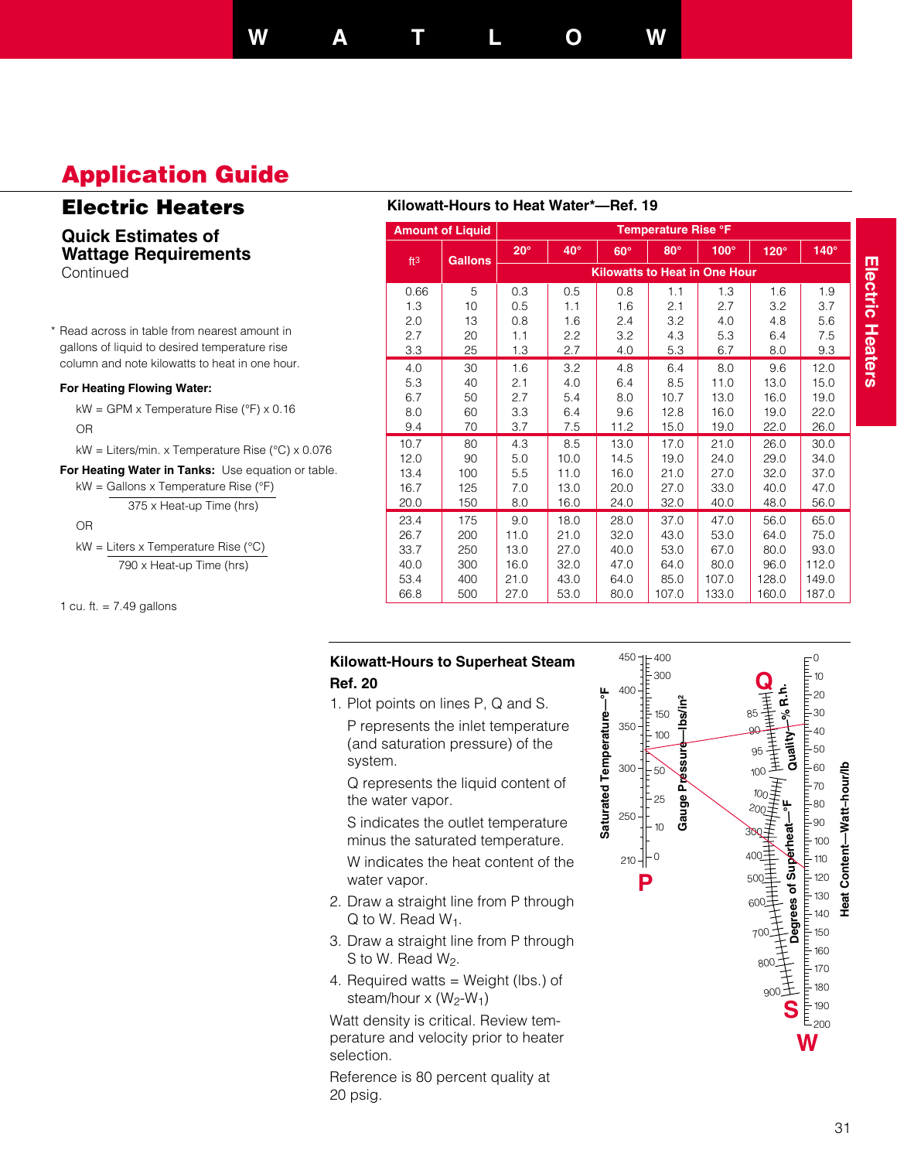## **W A T L O W**

# **Application Guide**

## **Electric Heaters**

**Quick Estimates of Wattage Requirements Continued** 

\* Read across in table from nearest amount in gallons of liquid to desired temperature rise column and note kilowatts to heat in one hour.

#### **For Heating Flowing Water:**

kW = GPM x Temperature Rise (°F) x 0.16 OR

kW = Liters/min. x Temperature Rise (°C) x 0.076

**For Heating Water in Tanks:** Use equation or table. kW = Gallons x Temperature Rise (°F)

$$
375 \times Heat-up Time (hrs)
$$

OR

kW = Liters x Temperature Rise (°C)

790 x Heat-up Time (hrs)

1 cu. ft.  $= 7.49$  gallons

### **Kilowatt-Hours to Heat Water\*—Ref. 19**

| <b>Amount of Liquid</b> |                 |                | <b>Temperature Rise °F</b> |            |                                      |            |       |             |       |  |
|-------------------------|-----------------|----------------|----------------------------|------------|--------------------------------------|------------|-------|-------------|-------|--|
|                         | ft <sup>3</sup> | <b>Gallons</b> | $20^\circ$                 | $40^\circ$ | $60^\circ$                           | $80^\circ$ | 100°  | $120^\circ$ | 140°  |  |
|                         |                 |                |                            |            | <b>Kilowatts to Heat in One Hour</b> |            |       |             |       |  |
|                         | 0.66            | 5              | 0.3                        | 0.5        | 0.8                                  | 1.1        | 1.3   | 1.6         | 1.9   |  |
|                         | 1.3             | 10             | 0.5                        | 1.1        | 1.6                                  | 2.1        | 2.7   | 3.2         | 3.7   |  |
|                         | 2.0             | 13             | 0.8                        | 1.6        | 2.4                                  | 3.2        | 4.0   | 4.8         | 5.6   |  |
|                         | 2.7             | 20             | 1.1                        | 2.2        | 3.2                                  | 4.3        | 5.3   | 6.4         | 7.5   |  |
|                         | 3.3             | 25             | 1.3                        | 2.7        | 4.0                                  | 5.3        | 6.7   | 8.0         | 9.3   |  |
|                         | 4.0             | 30             | 1.6                        | 3.2        | 4.8                                  | 6.4        | 8.0   | 9.6         | 12.0  |  |
|                         | 5.3             | 40             | 2.1                        | 4.0        | 6.4                                  | 8.5        | 11.0  | 13.0        | 15.0  |  |
|                         | 6.7             | 50             | 2.7                        | 5.4        | 8.0                                  | 10.7       | 13.0  | 16.0        | 19.0  |  |
|                         | 8.0             | 60             | 3.3                        | 6.4        | 9.6                                  | 12.8       | 16.0  | 19.0        | 22.0  |  |
|                         | 9.4             | 70             | 3.7                        | 7.5        | 11.2                                 | 15.0       | 19.0  | 22.0        | 26.0  |  |
|                         | 10.7            | 80             | 4.3                        | 8.5        | 13.0                                 | 17.0       | 21.0  | 26.0        | 30.0  |  |
|                         | 12.0            | 90             | 5.0                        | 10.0       | 14.5                                 | 19.0       | 24.0  | 29.0        | 34.0  |  |
|                         | 13.4            | 100            | 5.5                        | 11.0       | 16.0                                 | 21.0       | 27.0  | 32.0        | 37.0  |  |
|                         | 16.7            | 125            | 7.0                        | 13.0       | 20.0                                 | 27.0       | 33.0  | 40.0        | 47.0  |  |
|                         | 20.0            | 150            | 8.0                        | 16.0       | 24.0                                 | 32.0       | 40.0  | 48.0        | 56.0  |  |
|                         | 23.4            | 175            | 9.0                        | 18.0       | 28.0                                 | 37.0       | 47.0  | 56.0        | 65.0  |  |
|                         | 26.7            | 200            | 11.0                       | 21.0       | 32.0                                 | 43.0       | 53.0  | 64.0        | 75.0  |  |
|                         | 33.7            | 250            | 13.0                       | 27.0       | 40.0                                 | 53.0       | 67.0  | 80.0        | 93.0  |  |
|                         | 40.0            | 300            | 16.0                       | 32.0       | 47.0                                 | 64.0       | 80.0  | 96.0        | 112.0 |  |
|                         | 53.4            | 400            | 21.0                       | 43.0       | 64.0                                 | 85.0       | 107.0 | 128.0       | 149.0 |  |
|                         | 66.8            | 500            | 27.0                       | 53.0       | 80.0                                 | 107.0      | 133.0 | 160.0       | 187.0 |  |

### **Kilowatt-Hours to Superheat Steam Ref. 20**

1. Plot points on lines P, Q and S.

P represents the inlet temperature (and saturation pressure) of the system.

Q represents the liquid content of the water vapor.

S indicates the outlet temperature minus the saturated temperature.

W indicates the heat content of the water vapor.

- 2. Draw a straight line from P through  $Q$  to W. Read  $W_1$ .
- 3. Draw a straight line from P through S to W. Read W<sub>2</sub>.
- 4. Required watts = Weight (lbs.) of steam/hour  $x (W_2-W_1)$

Watt density is critical. Review temperature and velocity prior to heater selection.

Reference is 80 percent quality at 20 psig.